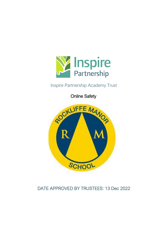

# Inspire Partnership Academy Trust

Online Safety



# DATE APPROVED BY TRUSTEES: 13 Dec 2022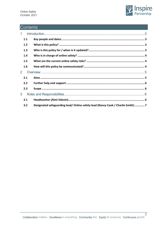

# Contents

| $\mathbf 1$    |     |                                                                                |  |  |  |
|----------------|-----|--------------------------------------------------------------------------------|--|--|--|
|                | 1.1 |                                                                                |  |  |  |
|                | 1.2 |                                                                                |  |  |  |
|                | 1.3 |                                                                                |  |  |  |
|                | 1.4 |                                                                                |  |  |  |
|                | 1.5 |                                                                                |  |  |  |
|                | 1.6 |                                                                                |  |  |  |
| 2 <sup>1</sup> |     |                                                                                |  |  |  |
|                | 2.1 |                                                                                |  |  |  |
|                | 2.2 |                                                                                |  |  |  |
|                | 2.3 |                                                                                |  |  |  |
| 3              |     |                                                                                |  |  |  |
|                | 3.1 |                                                                                |  |  |  |
|                | 3.2 | Designated safeguarding lead/Online safety lead (Nancy Cook / Charlie Smith) 7 |  |  |  |

 $\overline{2}$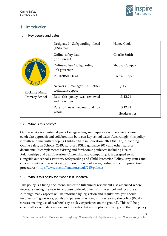

 $\overline{3}$ 

## <span id="page-2-0"></span>1 Introduction

## <span id="page-2-1"></span>1.1 Key people and dates

|                  | Designated Safeguarding Lead<br>(DSL) team       | Nancy Cook.    |
|------------------|--------------------------------------------------|----------------|
| ROCKLIFFE MANO   | Online-safety lead<br>(if different)             | Charlie Smith  |
| $\mathbf R$<br>M | Online-safety / safeguarding<br>link governor    | Shapna Compton |
| SCHOOL           | PSHE/RSHE lead                                   | Rachael Roper  |
| Rockliffe Manor  | other<br>Network<br>manager<br>technical support | Ji Li          |
| Primary School   | Date this policy was reviewed<br>and by whom     | 13.12.21       |
|                  | Date of next review and by                       | 13.12.22       |
|                  | whom                                             | Headteacher    |

## <span id="page-2-2"></span>1.2 What is this policy?

Online safety is an integral part of safeguarding and requires a whole school, crosscurricular approach and collaboration between key school leads. Accordingly, this policy is written in line with 'Keeping Children Safe in Education' 2021 (KCSIE), 'Teaching Online Safety in Schools' 2019, statutory RSHE guidance 2019 and other statutory documents. It complements existing and forthcoming subjects including Health, Relationships and Sex Education, Citizenship and Computing; it is designed to sit alongside our school's statutory Safeguarding and Child Protection Policy. Any issues and concerns with online safety must follow the school's safeguarding and child protection procedures [\(https://www.rockliffemanor.co.uk/215/policies\)](https://www.rockliffemanor.co.uk/215/policies)

## <span id="page-2-3"></span>1.3 Who is this policy for / when is it updated?

This policy is a living document, subject to full annual review but also amended where necessary during the year in response to developments in the school and local area. Although many aspects will be informed by legislation and regulations, you should involve staff, governors, pupils and parents in writing and reviewing the policy (KCSIE stresses making use of teachers' day-to-day experience on the ground). This will help ensure all stakeholders understand the rules that are in place and why, and that the policy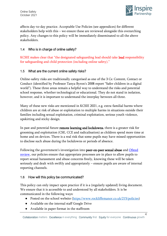

affects day-to-day practice. Acceptable Use Policies (see appendices) for different stakeholders help with this – we ensure these are reviewed alongside this overarching policy. Any changes to this policy will be immediately disseminated to all the above stakeholders.

## <span id="page-3-0"></span>1.4 Who is in charge of online safety?

KCSIE makes clear that "the designated safeguarding lead should take lead responsibility for safeguarding and child protection (including online safety)."

## <span id="page-3-1"></span>1.5 What are the current online safety risks?

Online-safety risks are traditionally categorised as one of the 3 Cs: Content, Contact or Conduct (identified by Professor Tanya Byron's 2008 report "Safer children in a digital world"). These three areas remain a helpful way to understand the risks and potential school response, whether technological or educational. They do not stand in isolation, however, and it is important to understand the interplay between all three.

Many of these new risks are mentioned in KCSIE 2021, e.g. extra-familial harms where children are at risk of abuse or exploitation to multiple harms in situations outside their families including sexual exploitation, criminal exploitation, serious youth violence, upskirting and sticky design.

In past and potential future **remote learning and lockdowns**, there is a greater risk for grooming and exploitation (CSE, CCE and radicalisation) as children spend more time at home and on devices. There is a real risk that some pupils may have missed opportunities to disclose such abuse during the lockdowns or periods of absence.

Following the government's investigation into **peer-on-peer sexual abuse** and **Ofsted** [review,](https://www.gov.uk/government/publications/review-of-sexual-abuse-in-schools-and-colleges/review-of-sexual-abuse-in-schools-and-colleges) our policies ensure that appropriate processes are in place to allow pupils to report sexual harassment and abuse concerns freely, knowing these will be taken seriously and dealt with swiftly and appropriately – ensure pupils are aware of internal reporting channels.

## <span id="page-3-2"></span>1.6 How will this policy be communicated?

This policy can only impact upon practice if it is a (regularly updated) living document. We ensure that it is accessible to and understood by all stakeholders. It is be communicated in the following ways:

- Posted on the school website [\(https://www.rockliffemanor.co.uk/215/policies\)](https://www.rockliffemanor.co.uk/215/policies)
- Available on the internal staff Google Drive
- Available in paper format in the staffroom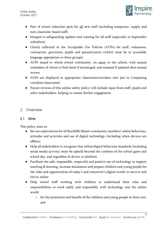

- Part of school induction pack for all new staff (including temporary, supply and non-classroom-based staff)
- Integral to safeguarding updates and training for all staff (especially in September refreshers)
- Clearly reflected in the Acceptable Use Policies (AUPs) for staff, volunteers, contractors, governors, pupils and parents/carers (which must be in accessible language appropriate to these groups).
- AUPs issued to whole school community, on entry to the school, with annual reminders of where to find them if unchanged, and reissued if updated after annual review
- AUPs are displayed in appropriate classrooms/corridors (not just in Computing corridors/classrooms)
- Future reviews of this online-safety policy will include input from staff, pupils and other stakeholders, helping to ensure further engagement

## <span id="page-4-0"></span>2 Overview

## <span id="page-4-1"></span>2.1 Aims

This policy aims to:

- Set out expectations for all Rockliffe Manor community members' online behaviour, attitudes and activities and use of digital technology (including when devices are offline)
- Help all stakeholders to recognise that online/digital behaviour standards (including social media activity) must be upheld beyond the confines of the school gates and school day, and regardless of device or platform
- Facilitate the safe, responsible, respectful and positive use of technology to support teaching & learning, increase attainment and prepare children and young people for the risks and opportunities of today's and tomorrow's digital world, to survive and thrive online
- Help school staff working with children to understand their roles and responsibilities to work safely and responsibly with technology and the online world:
	- o for the protection and benefit of the children and young people in their care, and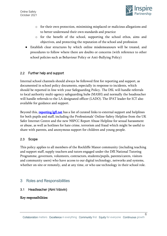

- o for their own protection, minimising misplaced or malicious allegations and to better understand their own standards and practice
- o for the benefit of the school, supporting the school ethos, aims and objectives, and protecting the reputation of the school and profession
- Establish clear structures by which online misdemeanours will be treated, and procedures to follow where there are doubts or concerns (with reference to other school policies such as Behaviour Policy or Anti-Bullying Policy)

## <span id="page-5-0"></span>2.2 Further help and support

Internal school channels should always be followed first for reporting and support, as documented in school policy documents, especially in response to incidents, which should be reported in line with your Safeguarding Policy. The DSL will handle referrals to local authority multi-agency safeguarding hubs (MASH) and normally the headteacher will handle referrals to the LA designated officer (LADO). The IPAT leader for ICT also available for guidance and support.

Beyond this, **reporting.lgfl.net** has a list of curated links to external support and helplines for both pupils and staff, including the Professionals' Online-Safety Helpline from the UK Safer Internet Centre and the new NSPCC Report Abuse Helpline for sexual harassment or abuse, as well as hotlines for hate crime, terrorism and fraud which might be useful to share with parents, and anonymous support for children and young people.

## <span id="page-5-1"></span>2.3 Scope

This policy applies to all members of the Rockliffe Manor community (including teaching and support staff, supply teachers and tutors engaged under the DfE National Tutoring Programme, governors, volunteers, contractors, students/pupils, parents/carers, visitors and community users) who have access to our digital technology, networks and systems, whether on-site or remotely, and at any time, or who use technology in their school role.

## <span id="page-5-2"></span>3 Roles and Responsibilities

#### <span id="page-5-3"></span>3.1 Headteacher (Aimi Vdovin)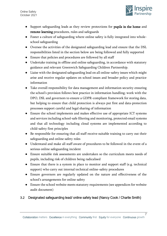

- Support safeguarding leads as they review protections for pupils in the home and remote-learning procedures, rules and safeguards
- Foster a culture of safeguarding where online safety is fully integrated into wholeschool safeguarding
- Oversee the activities of the designated safeguarding lead and ensure that the DSL responsibilities listed in the section below are being followed and fully supported
- Ensure that policies and procedures are followed by all staff
- Undertake training in offline and online safeguarding, in accordance with statutory guidance and relevant Greenwich Safeguarding Children Partnership.
- Liaise with the designated safeguarding lead on all online-safety issues which might arise and receive regular updates on school issues and broader policy and practice information
- Take overall responsibility for data management and information security ensuring the school's provision follows best practice in information handling; work with the DPO, DSL and governors to ensure a GDPR-compliant framework for storing data, but helping to ensure that child protection is always put first and data-protection processes support careful and legal sharing of information
- Ensure the school implements and makes effective use of appropriate ICT systems and services including school-safe filtering and monitoring, protected email systems and that all technology including cloud systems are implemented according to child-safety first principles
- Be responsible for ensuring that all staff receive suitable training to carry out their safeguarding and online safety roles
- Understand and make all staff aware of procedures to be followed in the event of a serious online safeguarding incident
- Ensure suitable risk assessments are undertaken so the curriculum meets needs of pupils, including risk of children being radicalised
- Ensure that there is a system in place to monitor and support staff (e.g. technical support) who carry out internal technical online-safety procedures
- Ensure governors are regularly updated on the nature and effectiveness of the school's arrangements for online safety
- Ensure the school website meets statutory requirements (see appendices for website audit document)

## <span id="page-6-0"></span>3.2 Designated safeguarding lead/ online safety lead (Nancy Cook / Charlie Smith)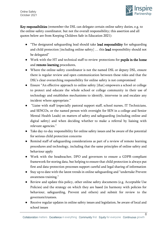

Key responsibilities (remember the DSL can delegate certain online safety duties, e.g. to the online-safety coordinator, but not the overall responsibility; this assertion and all quotes below are from Keeping Children Safe in Education 2021):

- "The designated safeguarding lead should take lead responsibility for safeguarding and child protection [including online safety] … this lead responsibility should not be delegated"
- Work with the HT and technical staff to review protections for pupils in the home and remote-learning procedures,
- Where the online-safety coordinator is not the named DSL or deputy DSL, ensure there is regular review and open communication between these roles and that the DSL's clear overarching responsibility for online safety is not compromised
- Ensure "An effective approach to online safety [that] empowers a school or college to protect and educate the whole school or college community in their use of technology and establishes mechanisms to identify, intervene in and escalate any incident where appropriate."
- "Liaise with staff (especially pastoral support staff, school nurses, IT Technicians, and SENCOs, or the named person with oversight for SEN in a college and Senior Mental Health Leads) on matters of safety and safeguarding (including online and digital safety) and when deciding whether to make a referral by liaising with relevant agencies."
- Take day-to-day responsibility for online safety issues and be aware of the potential for serious child protection concerns
- Remind staff of safeguarding considerations as part of a review of remote learning procedures and technology, including that the same principles of online safety and behaviour apply
- Work with the headteacher, DPO and governors to ensure a GDPR-compliant framework for storing data, but helping to ensure that child protection is always put first and data-protection processes support careful and legal sharing of information
- Stay up to date with the latest trends in online safeguarding and "undertake Prevent awareness training."
- Review and update this policy, other online safety documents (e.g. Acceptable Use Policies) and the strategy on which they are based (in harmony with policies for behaviour, safeguarding, Prevent and others) and submit for review to the governors/trustees.
- Receive regular updates in online safety issues and legislation, be aware of local and school issues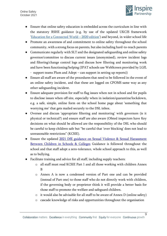

 $\overline{q}$ 

- Ensure that online safety education is embedded across the curriculum in line with the statutory RSHE guidance (e.g. by use of the updated UKCIS framework '[Education for a Connected World](https://assets.publishing.service.gov.uk/government/uploads/system/uploads/attachment_data/file/896323/UKCIS_Education_for_a_Connected_World_.pdf) – 2020 edition') and beyond, in wider school life
- Promote an awareness of and commitment to online safety throughout the school community, with a strong focus on parents, but also including hard-to-reach parents
- Communicate regularly with SLT and the designated safeguarding and online safety governor/committee to discuss current issues (anonymised), review incident logs and filtering/change control logs and discuss how filtering and monitoring work and have been functioning/helping (IPAT schools use WebScreen provided by LGfL
	- support teams Plum and Adept can support in setting up reports))
- Ensure all staff are aware of the procedures that need to be followed in the event of an online safety incident, and that these are logged on CPOMS same way as any other safeguarding incident.
- Ensure adequate provision for staff to flag issues when not in school and for pupils to disclose issues when off site, especially when in isolation/quarantine/lockdown, e.g. a safe, simple, online form on the school home page about 'something that worrying me' that gets mailed securely to the DSL inbox.
- Oversee and discuss 'appropriate filtering and monitoring' with governors (is it physical or technical?) and ensure staff are also aware (Ofsted inspectors have Key decisions on what should be allowed are the responsibility of the DSL who should be careful to keep children safe but "be careful that 'over blocking' does not lead to unreasonable restrictions" (KCSIE).
- Ensure the updated [2021 DfE guidance on Sexual Violence & Sexual Harassment](https://www.gov.uk/government/publications/sexual-violence-and-sexual-harassment-between-children-in-schools-and-colleges)  [Between Children in Schools & Colleges](https://www.gov.uk/government/publications/sexual-violence-and-sexual-harassment-between-children-in-schools-and-colleges) Guidance is followed throughout the school and that staff adopt a zero-tolerance, whole school approach to this, as well as to bullying.
- Facilitate training and advice for all staff, including supply teachers:
	- o all staff must read KCSIE Part 1 and all those working with children Annex B
	- o Annex A is now a condensed version of Part one and can be provided (instead of Part one) to those staff who do not directly work with children, if the governing body or proprietor think it will provide a better basis for those staff to promote the welfare and safeguard children.
	- o it would also be advisable for all staff to be aware of Annex D (online safety)
	- o cascade knowledge of risks and opportunities throughout the organisation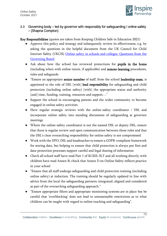

## 3.3 Governing body – led by governor with responsibly for safeguarding / online safety – (Shapna Compton)

Key Responsibilities (quotes are taken from Keeping Children Safe in Education 2021)

- Approve this policy and strategy and subsequently review its effectiveness, e.g. by asking the questions in the helpful document from the UK Council for Child Internet Safety (UKCIS) [Online safety in schools and colleges: Questions from the](https://assets.publishing.service.gov.uk/government/uploads/system/uploads/attachment_data/file/562876/Guidance_for_School_Governors_-_Question_list.pdf)  [Governing Board](https://assets.publishing.service.gov.uk/government/uploads/system/uploads/attachment_data/file/562876/Guidance_for_School_Governors_-_Question_list.pdf)
- Ask about how the school has reviewed protections for pupils in the home (including when with online tutors, if applicable) and remote-learning procedures, rules and safeguards
- "Ensure an appropriate senior member of staff, from the school leadership team, is appointed to the role of DSL [with] lead responsibility for safeguarding and child protection (including online safety) [with] the appropriate status and authority [and] time, funding, training, resources and support..."
- Support the school in encouraging parents and the wider community to become engaged in online safety activities
- Have regular strategic reviews with the online-safety coordinator / DSL and incorporate online safety into standing discussions of safeguarding at governor meetings
- Where the online-safety coordinator is not the named DSL or deputy DSL, ensure that there is regular review and open communication between these roles and that the DSL's clear overarching responsibility for online safety is not compromised
- Work with the DPO, DSL and headteacher to ensure a GDPR-compliant framework for storing data, but helping to ensure that child protection is always put first and data-protection processes support careful and legal sharing of information
- Check all school staff have read Part 1 of KCSIE; SLT and all working directly with children have read Annex B; check that Annex D on Online Safety reflects practice in your school
- "Ensure that all staff undergo safeguarding and child protection training (including online safety) at induction. The training should be regularly updated in line with advice from the local the safeguarding partners; integrated, aligned and considered as part of the overarching safeguarding approach."
- "Ensure appropriate filters and appropriate monitoring systems are in place but be careful that 'overblocking' does not lead to unreasonable restrictions as to what children can be taught with regard to online teaching and safeguarding".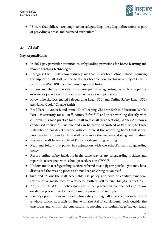

● "Ensure that children are taught about safeguarding, including online safety as part of providing a broad and balanced curriculum"

## 3.4 All staff

- In 2021 pay particular attention to safeguarding provisions for home-learning and remote-teaching technologies
- Recognise that RSHE is now statutory and that it is a whole-school subject requiring the support of all staff; online safety has become core to this new subject (This is part of the iPAT RSHE curriculum map – add link)
- Understand that online safety is a core part of safeguarding; as such it is part of everyone's job – never think that someone else will pick it up
- Know who the Designated Safeguarding Lead (DSL) and Online Safety Lead (OSL) are Nancy Cook / Charlie Smith
- Read Part 1, Annex B and Annex D of Keeping Children Safe in Education (whilst Part 1 is statutory for all staff, Annex B for SLT and those working directly with children, it is good practice for all staff to read all three sections). Annex A is now a condensed version of Part one and can be provided (instead of Part one) to those staff who do not directly work with children, if the governing body think it will provide a better basis for those staff to promote the welfare and safeguard children.
- Ensure all staff have completed Educare safeguarding training
- Read and follow this policy in conjunction with the school's main safeguarding policy
- Record online-safety incidents in the same way as any safeguarding incident and report in accordance with school procedures on CPOMS.
- Understand that safeguarding is often referred to as a jigsaw puzzle you may have discovered the missing piece so do not keep anything to yourself
- Sign and follow the staff acceptable use policy and code of conduct/handbook [https://drive.google.com/drive/folders/1EuJKBUZfJDr2-eu7izbguJdKLK87GCZv]
- Notify the DSL/OSL if policy does not reflect practice in your school and follow escalation procedures if concerns are not promptly acted upon
- Identify opportunities to thread online safety through all school activities as part of a whole school approach in line with the RSHE curriculum, both outside the classroom and within the curriculum, supporting curriculum/stage/subject leads,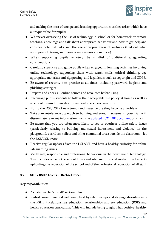

and making the most of unexpected learning opportunities as they arise (which have a unique value for pupils)

- Whenever overseeing the use of technology in school or for homework or remote teaching, encourage and talk about appropriate behaviour and how to get help and consider potential risks and the age-appropriateness of websites (find out what appropriate filtering and monitoring systems are in place)
- When supporting pupils remotely, be mindful of additional safeguarding considerations.
- Carefully supervise and guide pupils when engaged in learning activities involving online technology, supporting them with search skills, critical thinking, age appropriate materials and signposting, and legal issues such as copyright and GDPR.
- Be aware of security best-practice at all times, including password hygiene and phishing strategies.
- Prepare and check all online source and resources before using
- Encourage pupils/students to follow their acceptable use policy at home as well as at school, remind them about it and enforce school sanctions.
- Notify the DSL/OSL of new trends and issues before they become a problem
- Take a zero-tolerance approach to bullying and sexual harassment (your DSL will disseminate relevant information from the [updated 2021 DfE document](https://www.gov.uk/government/publications/sexual-violence-and-sexual-harassment-between-children-in-schools-and-colleges) on this)
- Be aware that you are often most likely to see or overhear online-safety issues (particularly relating to bullying and sexual harassment and violence) in the playground, corridors, toilets and other communal areas outside the classroom – let the DSL/OSL know
- Receive regular updates from the DSL/OSL and have a healthy curiosity for online safeguarding issues
- Model safe, responsible and professional behaviours in their own use of technology. This includes outside the school hours and site, and on social media, in all aspects upholding the reputation of the school and of the professional reputation of all staff.

## 3.5 PSHE / RSHE Lead/s – Rachael Roper

- As listed in the 'all staff' section, plus:
- Embed consent, mental wellbeing, healthy relationships and staying safe online into the PSHE / Relationships education, relationships and sex education (RSE) and health education curriculum. "This will include being taught what positive, healthy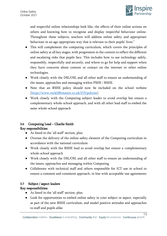

and respectful online relationships look like, the effects of their online actions on others and knowing how to recognise and display respectful behaviour online. Throughout these subjects, teachers will address online safety and appropriate behaviour in an age-appropriate way that is relevant to their pupils' lives."

- This will complement the computing curriculum, which covers the principles of online safety at all key stages, with progression in the content to reflect the different and escalating risks that pupils face. This includes how to use technology safely, responsibly, respectfully and securely, and where to go for help and support when they have concerns about content or contact on the internet or other online technologies.
- Work closely with the DSL/OSL and all other staff to ensure an understanding of the issues, approaches and messaging within PSHE / RSHE.
- Note that an RSHE policy should now be included on the school website [\[https://www.rockliffemanor.co.uk/215/policies\]](https://www.rockliffemanor.co.uk/215/policies)
- Work closely with the Computing subject leader to avoid overlap but ensure a complementary whole-school approach, and with all other lead staff to embed the same whole-school approach

## 3.6 Computing Lead – Charlie Smith

## Key responsibilities:

- As listed in the 'all staff' section, plus:
- Oversee the delivery of the online safety element of the Computing curriculum in accordance with the national curriculum
- Work closely with the RSHE lead to avoid overlap but ensure a complementary whole-school approach
- Work closely with the DSL/OSL and all other staff to ensure an understanding of the issues, approaches and messaging within Computing
- Collaborate with technical staff and others responsible for ICT use in school to ensure a common and consistent approach, in line with acceptable-use agreements

## 3.7 Subject / aspect leaders

- As listed in the 'all staff' section, plus:
- Look for opportunities to embed online safety in your subject or aspect, especially as part of the new RSHE curriculum, and model positive attitudes and approaches to staff and pupils alike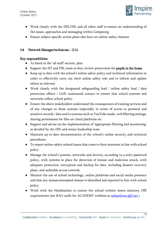

 $\overline{14}$ 

- Work closely with the DSL/OSL and all other staff to ensure an understanding of the issues, approaches and messaging within Computing
- Ensure subject specific action plans also have an online-safety element

### 3.8 Network Manager/technician – Ji Li

- As listed in the 'all staff' section, plus:
- Support the HT and DSL team as they review protections for **pupils in the home**
- Keep up to date with the school's online safety policy and technical information in order to effectively carry out their online safety role and to inform and update others as relevant
- Work closely with the designated safeguarding lead / online safety lead / data protection officer / LGfL nominated contact to ensure that school systems and networks reflect school policy
- Ensure the above stakeholders understand the consequences of existing services and of any changes to these systems (especially in terms of access to personal and sensitive records / data and to systems such as YouTube mode, web filtering settings, sharing permissions for files on cloud platforms etc
- Support and advise on the implementation of 'appropriate filtering and monitoring' as decided by the DSL and senior leadership team
- Maintain up-to-date documentation of the school's online security and technical procedures
- To report online-safety related issues that come to their attention in line with school policy
- Manage the school's systems, networks and devices, according to a strict password policy, with systems in place for detection of misuse and malicious attack, with adequate protection, encryption and backup for data, including disaster recovery plans, and auditable access controls
- Monitor the use of school technology, online platforms and social media presence and that any misuse/attempted misuse is identified and reported in line with school policy
- Work with the Headteacher to ensure the school website meets statutory DfE requirements (see RAG-audit for ACADEMY websites at [safepolicies.lgfl.net.](https://www.lgfl.net/online-safety/resource-centre?s=24))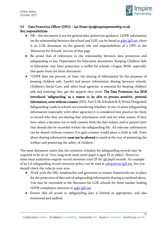

## 3.9 Data Protection Officer (DPO) – Ian Hoare dpo@inspirepartnership.co.uk Key responsibilities:

- NB this document is not for general data-protection guidance; GDPR information on the relationship between the school and LGfL can be found a[t gdpr.lgfl.net;](https://gdpr.lgfl.net/) there is an LGfL document on the general role and responsibilities of a DPO in the 'Resources for Schools' section of that page
- Be aware that of references to the relationship between data protection and safeguarding in key Department for Education documents 'Keeping Children Safe in Education' and 'Data protection: a toolkit for schools' (August 2018), especially this quote from the latter document:
- "GDPR does not prevent, or limit, the sharing of information for the purposes of keeping children safe. Lawful and secure information sharing between schools, Children's Social Care, and other local agencies, is essential for keeping children safe and ensuring they get the support they need. The Data Protection Act 2018 introduced 'safeguarding' as a reason to be able to process sensitive, personal information, even without consent (DPA, Part 2,18; Schedule 8, 4) When Designated Safeguarding Leads in schools are considering whether, or not, to share safeguarding information (especially with other agencies) it is considered best practice for them to record who they are sharing that information with and for what reason. If they have taken a decision not to seek consent from the data subject and/or parent/carer that should also be recorded within the safeguarding file. All relevant information can be shared without consent if to gain consent would place a child at risk. Fears about sharing information must not be allowed to stand in the way of promoting the welfare and protecting the safety of children."

The same document states that the retention schedule for safeguarding records may be required to be set as 'Very long term need (until pupil is aged 25 or older)'. However, some local authorities require record retention until 25 for all pupil records. An example of an LA safeguarding record retention policy can be read at [safepolicies.lgfl.net,](https://safepolicies.lgfl.net/) but you should check the rules in your area.

- Work with the DSL, headteacher and governors to ensure frameworks are in place for the protection of data and of safeguarding information sharing as outlined above. You may be interested in the discounts for LGfL schools for three market-leading GDPR compliance solutions at [gdpr.lgfl.net](https://gdpr.lgfl.net/)
- Ensure that all access to safeguarding data is limited as appropriate, and also monitored and audited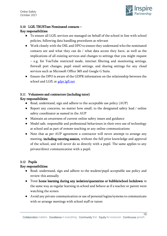

#### 3.10 LGfL TRUSTnet Nominated contacts –

### Key responsibilities:

- To ensure all LGfL services are managed on behalf of the school in line with school policies, following data handling procedures as relevant
- Work closely with the DSL and DPO to ensure they understand who the nominated contacts are and what they can do / what data access they have, as well as the implications of all existing services and changes to settings that you might request – e.g. for YouTube restricted mode, internet filtering and monitoring settings, firewall port changes, pupil email settings, and sharing settings for any cloud services such as Microsoft Office 365 and Google G Suite.
- Ensure the DPO is aware of the GDPR information on the relationship between the school and LGfL at [gdpr.lgfl.net](https://gdpr.lgfl.net/)

## 3.11 Volunteers and contractors (including tutor)

#### Key responsibilities:

- Read, understand, sign and adhere to the acceptable use policy (AUP)
- Report any concerns, no matter how small, to the designated safety lead / online safety coordinator as named in the AUP
- Maintain an awareness of current online safety issues and guidance
- Model safe, responsible and professional behaviours in their own use of technology at school and as part of remote teaching or any online communications
- Note that as per AUP agreement a contractor will never attempt to arrange any meeting, including tutoring session, without the full prior knowledge and approval of the school, and will never do so directly with a pupil. The same applies to any private/direct communication with a pupil.

#### 3.12 Pupils

- Read, understand, sign and adhere to the student/pupil acceptable use policy and review this annually
- Treat home learning during any isolation/quarantine or bubble/school lockdown in the same way as regular learning in school and behave as if a teacher or parent were watching the screen
- Avoid any private communication or use of personal logins/systems to communicate with or arrange meetings with school staff or tutors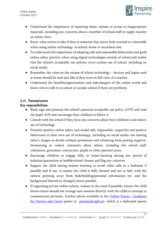

- Understand the importance of reporting abuse, misuse or access to inappropriate materials, including any concerns about a member of school staff or supply teacher or online tutor
- Know what action to take if they or someone they know feels worried or vulnerable when using online technology, at school, home or anywhere else.
- To understand the importance of adopting safe and responsible behaviours and good online safety practice when using digital technologies outside of school and realise that the school's acceptable use policies cover actions out of school, including on social media
- Remember the rules on the misuse of school technology devices and logins used at home should be used just like if they were in full view of a teacher.
- Understand the benefits/opportunities and risks/dangers of the online world and know who to talk to at school or outside school if there are problems

## 3.13 Parents/carers

- Read, sign and promote the school's parental acceptable use policy (AUP) and read the pupil AUP and encourage their children to follow it
- Consult with the school if they have any concerns about their children's and others' use of technology
- Promote positive online safety and model safe, responsible, respectful and positive behaviours in their own use of technology, including on social media: not sharing other's images or details without permission and refraining from posting negative, threatening or violent comments about others, including the school staff, volunteers, governors, contractors, pupils or other parents/carers.
- Encourage children to engage fully in home-learning during any period of isolation/quarantine or bubble/school closure and flag any concerns
- Support the child during remote learning to avoid video calls in a bedroom if possible and if not, to ensure the child is fully dressed and not in bed, with the camera pointing away from beds/bedding/personal information etc. and the background blurred or changed where possible.
- If organising private online tuition, remain in the room if possible, ensure the child knows tutors should not arrange new sessions directly with the child or attempt to communicate privately. Further advice available in the [Online Tutors](https://static.lgfl.net/LgflNet/downloads/online-safety/posters/LGfL-DigiSafe-Online-Tutors-Safeguarding-Guidance.pdf) – Guidance [for Parents and Carers](https://static.lgfl.net/LgflNet/downloads/online-safety/posters/LGfL-DigiSafe-Online-Tutors-Safeguarding-Guidance.pdf) poster at [parentsafe.lgfl.net,](https://parentsafe.lgfl.net/body-safe-sharing-content-online) which is a dedicated parent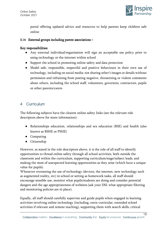

portal offering updated advice and resources to help parents keep children safe online

#### 3.14 External groups including parent associations –

#### Key responsibilities:

- Any external individual/organisation will sign an acceptable use policy prior to using technology or the internet within school
- Support the school in promoting online safety and data protection
- Model safe, responsible, respectful and positive behaviours in their own use of technology, including on social media: not sharing other's images or details without permission and refraining from posting negative, threatening or violent comments about others, including the school staff, volunteers, governors, contractors, pupils or other parents/carers

## 4 Curriculum

The following subjects have the clearest online safety links (see the relevant role descriptors above for more information):

- Relationships education, relationships and sex education (RSE) and health (also known as RSHE or PSHE)
- Computing
- Citizenship

However, as stated in the role descriptors above, it is the role of all staff to identify opportunities to thread online safety through all school activities, both outside the classroom and within the curriculum, supporting curriculum/stage/subject leads, and making the most of unexpected learning opportunities as they arise (which have a unique value for pupils).

Whenever overseeing the use of technology (devices, the internet, new technology such as augmented reality, etc) in school or setting as homework tasks, all staff should encourage sensible use, monitor what pupils/students are doing and consider potential dangers and the age appropriateness of websites (ask your DSL what appropriate filtering and monitoring policies are in place).

Equally, all staff should carefully supervise and guide pupils when engaged in learning activities involving online technology (including, extra-curricular, extended school activities if relevant and remote teaching), supporting them with search skills, critical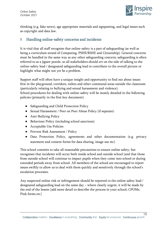

thinking (e.g. fake news), age appropriate materials and signposting, and legal issues such as copyright and data law.

## <sup>5</sup> Handling online-safety concerns and incidents

It is vital that all staff recognise that online-safety is a part of safeguarding (as well as being a curriculum strand of Computing, PSHE/RSHE and Citizenship). General concerns must be handled in the same way as any other safeguarding concern; safeguarding is often referred to as a jigsaw puzzle, so all stakeholders should err on the side of talking to the online-safety lead / designated safeguarding lead to contribute to the overall picture or highlight what might not yet be a problem.

Support staff will often have a unique insight and opportunity to find out about issues first in the playground, corridors, toilets and other communal areas outside the classroom (particularly relating to bullying and sexual harassment and violence). School procedures for dealing with online-safety will be mostly detailed in the following policies (primarily in the first key document):

- Safeguarding and Child Protection Policy
- Sexual Harassment / Peer on Peer Abuse Policy (if separate)
- Anti-Bullying Policy
- Behaviour Policy (including school sanctions)
- Acceptable Use Policies
- Prevent Risk Assessment / Policy
- Data Protection Policy, agreements and other documentation (e.g. privacy statement and consent forms for data sharing, image use etc)

This school commits to take all reasonable precautions to ensure online safety, but recognises that incidents will occur both inside school and outside school (and that those from outside school will continue to impact pupils when they come into school or during extended periods away from school. All members of the school are encouraged to report issues swiftly to allow us to deal with them quickly and sensitively through the school's escalation processes.

Any suspected online risk or infringement should be reported to the online safety lead / designated safeguarding lead on the same day – where clearly urgent, it will be made by the end of the lesson [add more detail to describe the process in your school; CPOMs, Pink forms etc]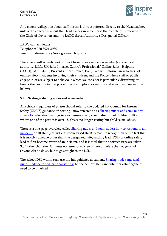Online Safety October 2021



 $\overline{20}$ 

Any concern/allegation about staff misuse is always referred directly to the Headteacher, unless the concern is about the Headteacher in which case the complaint is referred to the Chair of Governors and the LADO (Local Authority's Designated Officer).

LADO contact details: Telephone: 020 8921 3930 Email: childrens-Lado@royalgreenwich.gov.uk

The school will actively seek support from other agencies as needed (i.e. the local authority, LGfL, UK Safer Internet Centre's Professionals' Online Safety Helpline (POSH), NCA CEOP, Prevent Officer, Police, IWF). We will inform parents/carers of online-safety incidents involving their children, and the Police where staff or pupils engage in or are subject to behaviour which we consider is particularly disturbing or breaks the law (particular procedures are in place for sexting and upskirting; see section below).

#### 5.1 Sexting – sharing nudes and semi-nudes

All schools (regardless of phase) should refer to the updated UK Council for Internet Safety (UKCIS) guidance on sexting - now referred to as **Sharing nudes and semi-nudes:** [advice for education settings](https://www.gov.uk/government/publications/sharing-nudes-and-semi-nudes-advice-for-education-settings-working-with-children-and-young-people) to avoid unnecessary criminalisation of children. NB where one of the parties is over 18, this is no longer sexting but child sexual abuse.

There is a one-page overview called [Sharing nudes and semi-nudes: how to respond to an](https://assets.publishing.service.gov.uk/government/uploads/system/uploads/attachment_data/file/947546/Sharing_nudes_and_semi_nudes_how_to_respond_to_an_incident_Summary_V2.pdf)  [incident f](https://assets.publishing.service.gov.uk/government/uploads/system/uploads/attachment_data/file/947546/Sharing_nudes_and_semi_nudes_how_to_respond_to_an_incident_Summary_V2.pdf)or all staff (not just classroom-based staff) to read, in recognition of the fact that it is mostly someone other than the designated safeguarding lead (DSL) or online safety lead to first become aware of an incident, and it is vital that the correct steps are taken. Staff other than the DSL must not attempt to view, share or delete the image or ask anyone else to do so, but to go straight to the DSL.

The school DSL will in turn use the full guidance document, **Sharing nudes and semi**nudes – [advice for educational settings](https://assets.publishing.service.gov.uk/government/uploads/system/uploads/attachment_data/file/947545/UKCIS_sharing_nudes_and_semi_nudes_advice_for_education_settings_V2.pdf) to decide next steps and whether other agencies need to be involved.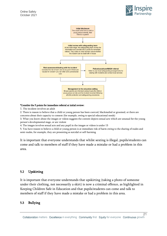



#### \*Consider the 5 points for immediate referral at initial review:

1. The incident involves an adult

2. There is reason to believe that a child or young person has been coerced, blackmailed or groomed, or there are concerns about their capacity to consent (for example, owing to special educational needs)

3. What you know about the images or videos suggests the content depicts sexual acts which are unusual for the young person's developmental stage, or are violent

4. The images involves sexual acts and any pupil in the images or videos is under 13

5. You have reason to believe a child or young person is at immediate risk of harm owing to the sharing of nudes and semi-nudes, for example, they are presenting as suicidal or self-harming

It is important that everyone understands that whilst sexting is illegal, pupils/students can come and talk to members of staff if they have made a mistake or had a problem in this area.

#### 5.2 Upskirting

It is important that everyone understands that upskirting (taking a photo of someone under their clothing, not necessarily a skirt) is now a criminal offence, as highlighted in Keeping Children Safe in Education and that pupils/students can come and talk to members of staff if they have made a mistake or had a problem in this area.

#### 5.3 Bullying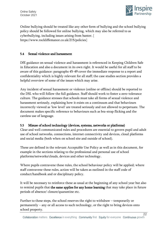

Online bullying should be treated like any other form of bullying and the school bullying policy should be followed for online bullying, which may also be referred to as cyberbullying, including issues arising from banter. [ https://www.rockliffemanor.co.uk/215/policies]

#### 5.4 Sexual violence and harassment

DfE guidance on sexual violence and harassment is referenced in Keeping Children Safe in Education and also a document in its own right. It would be useful for all staff to be aware of this guidance: paragraphs 45-49 cover the immediate response to a report and confidentiality which is highly relevant for all staff; the case studies section provides a helpful overview of some of the issues which may arise.

Any incident of sexual harassment or violence (online or offline) should be reported to the DSL who will follow the full guidance. Staff should work to foster a zero-tolerance culture. The guidance stresses that schools must take all forms of sexual violence and harassment seriously, explaining how it exists on a continuum and that behaviours incorrectly viewed as 'low level' are treated seriously and not allowed to perpetuate. The document makes specific reference to behaviours such as bra-strap flicking and the careless use of language.

## 5.5 Misuse of school technology (devices, systems, networks or platforms)

Clear and well communicated rules and procedures are essential to govern pupil and adult use of school networks, connections, internet connectivity and devices, cloud platforms and social media (both when on school site and outside of school).

These are defined in the relevant Acceptable Use Policy as well as in this document, for example in the sections relating to the professional and personal use of school platforms/networks/clouds, devices and other technology.

Where pupils contravene these rules, the school behaviour policy will be applied; where staff contravene these rules, action will be taken as outlined in the staff code of conduct/handbook and or disciplinary policy.

It will be necessary to reinforce these as usual at the beginning of any school year but also to remind pupils that the same applies for any home learning that may take place in future periods of absence/ closure/quarantine etc.

Further to these steps, the school reserves the right to withdraw – temporarily or permanently – any or all access to such technology, or the right to bring devices onto school property.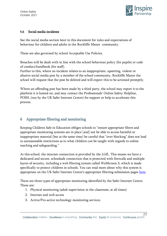

#### 5.6 Social media incidents

See the social media section later in this document for rules and expectations of behaviour for children and adults in the Rockliffe Manor community.

These are also governed by school Acceptable Use Policies.

Breaches will be dealt with in line with the school behaviour policy (for pupils) or code of conduct/handbook (for staff).

Further to this, where an incident relates to an inappropriate, upsetting, violent or abusive social media post by a member of the school community, Rockliffe Manor the school will request that the post be deleted and will expect this to be actioned promptly.

Where an offending post has been made by a third party, the school may report it to the platform it is hosted on, and may contact the Professionals' Online Safety Helpline, POSH, (run by the UK Safer Internet Centre) for support or help to accelerate this process.

## 6 Appropriate filtering and monitoring

Keeping Children Safe in Education obliges schools to "ensure appropriate filters and appropriate monitoring systems are in place [and] not be able to access harmful or inappropriate material [but at the same time] be careful that "over blocking" does not lead to unreasonable restrictions as to what children can be taught with regards to online teaching and safeguarding."

At this school, the internet connection is provided by the LGfL. This means we have a dedicated and secure, schoolsafe connection that is protected with firewalls and multiple layers of security, including a web filtering system called WebScreen 3, which is made specifically to protect children in schools. You can read more about why this system is appropriate on the UK Safer Internet Centre's appropriate filtering submission pages [here.](https://www.saferinternet.org.uk/advice-centre/teachers-and-school-staff/appropriate-filtering-and-monitoring/provider-responses)

There are three types of appropriate monitoring identified by the Safer Internet Centre. These are:

- 1. Physical monitoring (adult supervision in the classroom, at all times)
- 2. Internet and web access
- 3. Active/Pro-active technology monitoring services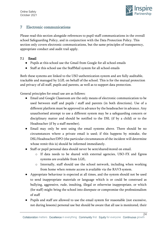Online Safety October 2021



24

## 7 Electronic communications

Please read this section alongside references to pupil-staff communications in the overall school Safeguarding Policy, and in conjunction with the Data Protection Policy. This section only covers electronic communications, but the same principles of transparency, appropriate conduct and audit trail apply.

## 7.1 Email

- Pupils at this school use the Gmail from Google for all school emails
- Staff at this school use the StaffMail system for all school emails

Both these systems are linked to the USO authentication system and are fully auditable, trackable and managed by LGfL on behalf of the school. This is for the mutual protection and privacy of all staff, pupils and parents, as well as to support data protection.

General principles for email use are as follows:

- Email and Google Classroom are the only means of electronic communication to be used between staff and pupils / staff and parents (in both directions). Use of a different platform must be approved in advance by the headteacher in advance. Any unauthorised attempt to use a different system may be a safeguarding concern or disciplinary matter and should be notified to the DSL (if by a child) or to the Headteacher (if by a staff member).
- Email may only be sent using the email systems above. There should be no circumstances where a private email is used; if this happens by mistake, the DSL/Headteacher/DPO (the particular circumstances of the incident will determine whose remit this is) should be informed immediately.
- Staff or pupil personal data should never be sent/shared/stored on email.
	- o If data needs to be shared with external agencies, USO-FX and Egress systems are available from LGfL.
	- o Internally, staff should use the school network, including when working from home when remote access is available via the RAV3 system.
- Appropriate behaviour is expected at all times, and the system should not be used to send inappropriate materials or language which is or could be construed as bullying, aggressive, rude, insulting, illegal or otherwise inappropriate, or which (for staff) might bring the school into disrepute or compromise the professionalism of staff
- Pupils and staff are allowed to use the email system for reasonable (not excessive, not during lessons) personal use but should be aware that all use is monitored, their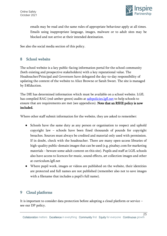

emails may be read and the same rules of appropriate behaviour apply at all times. Emails using inappropriate language, images, malware or to adult sites may be blocked and not arrive at their intended destination.

See also the social media section of this policy.

## 8 School website

The school website is a key public-facing information portal for the school community (both existing and prospective stakeholders) with a key reputational value. The Headteacher/Principal and Governors have delegated the day-to-day responsibility of updating the content of the website to Alice Browne or Sarah Sweet. The site is managed by E4Eduction.

The DfE has determined information which must be available on a school website. LGfL has compiled RAG (red-amber-green) audits at [safepolicies.lgfl.net](https://safepolicies.lgfl.net/) to help schools to ensure that are requirements are met (see appendices). Note that an RSHE policy is now included.

Where other staff submit information for the website, they are asked to remember:

- Schools have the same duty as any person or organisation to respect and uphold copyright law – schools have been fined thousands of pounds for copyright breaches. Sources must always be credited and material only used with permission. If in doubt, check with the headteacher. There are many open-access libraries of high-quality public-domain images that can be used (e.g. pixabay.com for marketing materials – beware some adult content on this site). Pupils and staff at LGfL schools also have access to licences for music, sound effects, art collection images and other at curriculum.lgfl.net
- Where pupil work, images or videos are published on the website, their identities are protected and full names are not published (remember also not to save images with a filename that includes a pupil's full name).

## 9 Cloud platforms

It is important to consider data protection before adopting a cloud platform or service – see our DP policy.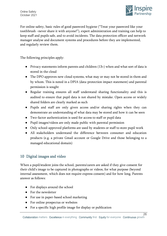

For online safety, basic rules of good password hygiene ("Treat your password like your toothbrush –never share it with anyone!"), expert administration and training can help to keep staff and pupils safe, and to avoid incidents. The data protection officer and network manager analyse and document systems and procedures before they are implemented, and regularly review them.

The following principles apply:

- Privacy statements inform parents and children  $(13+)$  when and what sort of data is stored in the cloud
- The DPO approves new cloud systems, what may or may not be stored in them and by whom. This is noted in a DPIA (data-protection impact statement) and parental permission is sought
- Regular training ensures all staff understand sharing functionality and this is audited to ensure that pupil data is not shared by mistake. Open access or widely shared folders are clearly marked as such
- Pupils and staff are only given access and/or sharing rights when they can demonstrate an understanding of what data may be stored and how it can be seen
- Two-factor authentication is used for access to staff or pupil data
- Pupil images/videos are only made public with parental permission
- Only school-approved platforms are used by students or staff to store pupil work
- All stakeholders understand the difference between consumer and education products (e.g. a private Gmail account or Google Drive and those belonging to a managed educational domain)

## 10 Digital images and video

When a pupil/student joins the school, parents/carers are asked if they give consent for their child's image to be captured in photographs or videos, for what purpose (beyond internal assessment, which does not require express consent) and for how long. Parents answer as follows:

- For displays around the school
- For the newsletter
- For use in paper-based school marketing
- For online prospectus or websites
- For a specific high profile image for display or publication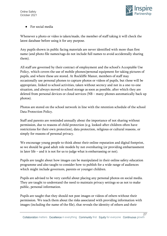

● For social media

Whenever a photo or video is taken/made, the member of staff taking it will check the latest database before using it for any purpose.

Any pupils shown in public facing materials are never identified with more than first name (and photo file names/tags do not include full names to avoid accidentally sharing them).

All staff are governed by their contract of employment and the school's Acceptable Use Policy, which covers the use of mobile phones/personal equipment for taking pictures of pupils, and where these are stored. At Rockliffe Manor, members of staff may occasionally use personal phones to capture photos or videos of pupils, but these will be appropriate, linked to school activities, taken without secrecy and not in a one-to-one situation, and always moved to school storage as soon as possible, after which they are deleted from personal devices or cloud services (NB – many phones automatically back up photos).

Photos are stored on the school network in line with the retention schedule of the school Data Protection Policy.

Staff and parents are reminded annually about the importance of not sharing without permission, due to reasons of child protection (e.g. looked-after children often have restrictions for their own protection), data protection, religious or cultural reasons, or simply for reasons of personal privacy.

We encourage young people to think about their online reputation and digital footprint, so we should be good adult role models by not oversharing (or providing embarrassment in later life – and it is not for us to judge what is embarrassing or not).

Pupils are taught about how images can be manipulated in their online safety education programme and also taught to consider how to publish for a wide range of audiences which might include governors, parents or younger children.

Pupils are advised to be very careful about placing any personal photos on social media. They are taught to understand the need to maintain privacy settings so as not to make public, personal information.

Pupils are taught that they should not post images or videos of others without their permission. We teach them about the risks associated with providing information with images (including the name of the file), that reveals the identity of others and their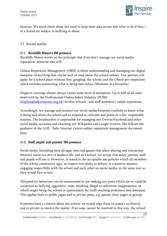

 $\overline{28}$ 

location. We teach them about the need to keep their data secure and what to do if they / or a friend are subject to bullying or abuse.

## 11 Social media

#### 11.1 Rockliffe Manor's SM presence

Rockliffe Manor works on the principle that if we don't manage our social media reputation, someone else will.

Online Reputation Management (ORM) is about understanding and managing our digital footprint (everything that can be seen or read about the school online). Few parents will apply for a school place without first 'googling' the school, and the Ofsted pre-inspection check includes monitoring what is being said online (Mumsnet is a favourite).

Negative coverage almost always causes some level of disruption. Up to half of all cases dealt with by the Professionals Online Safety Helpline (POSH: [helpline@saferinternet.org.uk](mailto:helpline@saferinternet.org.uk)) involve schools' (and staff members') online reputation.

Accordingly, we manage and monitor our social media footprint carefully to know what is being said about the school and to respond to criticism and praise in a fair, responsible manner. The headteacher is responsible for managing our Twitter/Facebook/and other social media accounts and checking our Wikipedia and Google reviews. She follows the guidance in the LGfL / Safer Internet Centre online-reputation management document [here.](https://static.lgfl.net/LgflNet/downloads/online-safety/LGfL-OS-Advice-Online-Reputation-Managment-for-Schools.pdf)

## 11.2 Staff, pupils' and parents' SM presence

Social media (including here all apps, sites and games that allow sharing and interaction between users) is a fact of modern life, and as a school, we accept that many parents, staff and pupils will use it. However, as stated in the acceptable use policies which all members of the school community sign, we expect everybody to behave in a positive manner, engaging respectfully with the school and each other on social media, in the same way as they would face to face.

This positive behaviour can be summarised as not making any posts which are or could be construed as bullying, aggressive, rude, insulting, illegal or otherwise inappropriate, or which might bring the school or (particularly for staff) teaching profession into disrepute. This applies both to public pages and to private posts, e.g. parent chats, pages or groups.

If parents have a concern about the school, we would urge them to contact us directly and in private to resolve the matter. If an issue cannot be resolved in this way, the school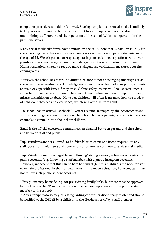

complaints procedure should be followed. Sharing complaints on social media is unlikely to help resolve the matter, but can cause upset to staff, pupils and parents, also undermining staff morale and the reputation of the school (which is important for the pupils we serve).

Many social media platforms have a minimum age of 13 (note that WhatsApp is 16+), but the school regularly deals with issues arising on social media with pupils/students under the age of 13. We ask parents to respect age ratings on social media platforms wherever possible and not encourage or condone underage use. It is worth noting that Online Harms regulation is likely to require more stringent age verification measures over the coming years.

However, the school has to strike a difficult balance of not encouraging underage use at the same time as needing to acknowledge reality in order to best help our pupils/students to avoid or cope with issues if they arise. Online safety lessons will look at social media and other online behaviour, how to be a good friend online and how to report bullying, misuse, intimidation or abuse. However, children will often learn most from the models of behaviour they see and experience, which will often be from adults.

The school has an official Facebook / Twitter account (managed by the headteacher and will respond to general enquiries about the school, but asks parents/carers not to use these channels to communicate about their children.

Email is the official electronic communication channel between parents and the school, and between staff and pupils.

Pupils/students are not allowed\* to be 'friends' with or make a friend request\*\* to any staff, governors, volunteers and contractors or otherwise communicate via social media.

Pupils/students are discouraged from 'following' staff, governor, volunteer or contractor public accounts (e.g. following a staff member with a public Instagram account). However, we accept that this can be hard to control (but this highlights the need for staff to remain professional in their private lives). In the reverse situation, however, staff must not follow such public student accounts.

\* Exceptions may be made, e.g. for pre-existing family links, but these must be approved by the Headteacher/Principal, and should be declared upon entry of the pupil or staff member to the school).

\*\* Any attempt to do so may be a safeguarding concern or disciplinary matter and should be notified to the DSL (if by a child) or to the Headteacher (if by a staff member).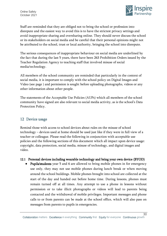

Staff are reminded that they are obliged not to bring the school or profession into disrepute and the easiest way to avoid this is to have the strictest privacy settings and avoid inappropriate sharing and oversharing online. They should never discuss the school or its stakeholders on social media and be careful that their personal opinions might not be attributed to the school, trust or local authority, bringing the school into disrepute.

The serious consequences of inappropriate behaviour on social media are underlined by the fact that during the last 5 years, there have been 263 Prohibition Orders issued by the Teacher Regulation Agency to teaching staff that involved misuse of social media/technology.

All members of the school community are reminded that particularly in the context of social media, it is important to comply with the school policy on Digital Images and Video (see page ) and permission is sought before uploading photographs, videos or any other information about other people.

The statements of the Acceptable Use Policies (AUPs) which all members of the school community have signed are also relevant to social media activity, as is the school's Data Protection Policy.

## 12 Device usage

Remind those with access to school devices about rules on the misuse of school technology – devices used at home should be used just like if they were in full view of a teacher or colleague. Please read the following in conjunction with acceptable use policies and the following sections of this document which all impact upon device usage: copyright, data protection, social media, misuse of technology, and digital images and video.

## 12.1 Personal devices including wearable technology and bring your own device (BYOD)

● Pupils/students year 5 and 6 are allowed to bring mobile phones in for emergency use only, they may not use mobile phones during lunch break or when moving around the school buildings. Mobile phones brought into school are collected at the start of the day and handed out before home time. During lessons, phones must remain turned off at all times. Any attempt to use a phone in lessons without permission or to take illicit photographs or videos will lead to parents being contacted and the withdrawal of mobile privileges. Important messages and phone calls to or from parents can be made at the school office, which will also pass on messages from parents to pupils in emergencies.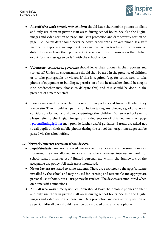

- All staff who work directly with children should leave their mobile phones on silent and only use them in private staff areas during school hours. See also the Digital images and video section on page and Data protection and data security section on page . Child/staff data should never be downloaded onto a private phone. If a staff member is expecting an important personal call when teaching or otherwise on duty, they may leave their phone with the school office to answer on their behalf or ask for the message to be left with the school office.
- Volunteers, contractors, governors should leave their phones in their pockets and turned off. Under no circumstances should they be used in the presence of children or to take photographs or videos. If this is required (e.g. for contractors to take photos of equipment or buildings), permission of the headteacher should be sought (the headteacher may choose to delegate this) and this should be done in the presence of a member staff.
- Parents are asked to leave their phones in their pockets and turned off when they are on site. They should ask permission before taking any photos, e.g. of displays in corridors or classrooms, and avoid capturing other children. When at school events, please refer to the Digital images and video section of this document on page . [parentfilming.lgfl.net](https://parentfilming.lgfl.net/) may provide further useful guidance. Parents are asked not to call pupils on their mobile phones during the school day; urgent messages can be passed via the school office.

#### 12.2 Network / internet access on school devices

- Pupils/students are not allowed networked file access via personal devices. However, they are allowed to access the school wireless internet network for school-related internet use / limited personal use within the framework of the acceptable use policy. All such use is monitored.
- Home devices are issued to some students. These are restricted to the apps/software installed by the school and may be used for learning and reasonable and appropriate personal use at home, but all usage may be tracked. The devices are monitored when on home wifi connections.
- All staff who work directly with children should leave their mobile phones on silent and only use them in private staff areas during school hours. See also the Digital images and video section on page and Data protection and data security section on page . Child/staff data should never be downloaded onto a private phone.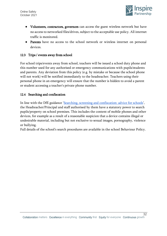

- Volunteers, contractors, governors can access the guest wireless network but have no access to networked files/drives, subject to the acceptable use policy. All internet traffic is monitored.
- Parents have no access to the school network or wireless internet on personal devices.

#### 12.3 Trips / events away from school

For school trips/events away from school, teachers will be issued a school duty phone and this number used for any authorised or emergency communications with pupils/students and parents. Any deviation from this policy (e.g. by mistake or because the school phone will not work) will be notified immediately to the headteacher. Teachers using their personal phone in an emergency will ensure that the number is hidden to avoid a parent or student accessing a teacher's private phone number.

#### 12.4 Searching and confiscation

In line with the DfE guidance '[Searching, screening and confiscation: advice for schools](https://assets.publishing.service.gov.uk/government/uploads/system/uploads/attachment_data/file/674416/Searching_screening_and_confiscation.pdf)', the Headteacher/Principal and staff authorised by them have a statutory power to search pupils/property on school premises. This includes the content of mobile phones and other devices, for example as a result of a reasonable suspicion that a device contains illegal or undesirable material, including but not exclusive to sexual images, pornography, violence or bullying.

Full details of the school's search procedures are available in the school Behaviour Policy.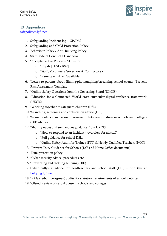

Online Safety October 2021

## 13 Appendices

[safepolicies.lgfl.net](https://safepolicies.lgfl.net/)

- 1. Safeguarding Incident log CPOMS
- 2. Safeguarding and Child Protection Policy
- 3. Behaviour Policy / Anti-Bullying Policy
- 4. Staff Code of Conduct / Handbook
- 5. \*Acceptable Use Policies (AUPs) for:
	- o \*Pupils [ KS1 / KS2]
	- o \*Staff, Volunteers Governors & Contractors -
	- $\circ$  \*Parents link if available
- 6. \*Letter to parents about filming/photographing/streaming school events \*Prevent Risk Assessment Template
- 7. \*Online-Safety Questions from the Governing Board (UKCIS)
- 8. \*Education for a Connected World cross-curricular digital resilience framework (UKCIS)
- 9. \*Working together to safeguard children (DfE)
- 10. \*Searching, screening and confiscation advice (DfE).
- 11. \*Sexual violence and sexual harassment between children in schools and colleges (DfE advice)
- 12. \*Sharing nudes and semi-nudes guidance from UKCIS:
	- o \*How to respond to an incident overview for all staff
	- o \*Full guidance for school DSLs
	- o \*Online Safety Audit for Trainee (ITT) & Newly Qualified Teachers (NQT)
- 13. \*Prevent Duty Guidance for Schools (DfE and Home Office documents)
- 14. Data protection policy
- 15. \*Cyber security advice, procedures etc
- 16. \*Preventing and tackling bullying (DfE)
- 17. Cyber bullying: advice for headteachers and school staff (DfE) find this at [bullying.lgfl.net](https://bullying.lgfl.net/)
- 18. \*RAG (red-amber-green) audits for statutory requirements of school websites
- 19. \*Ofsted Review of sexual abuse in schools and colleges